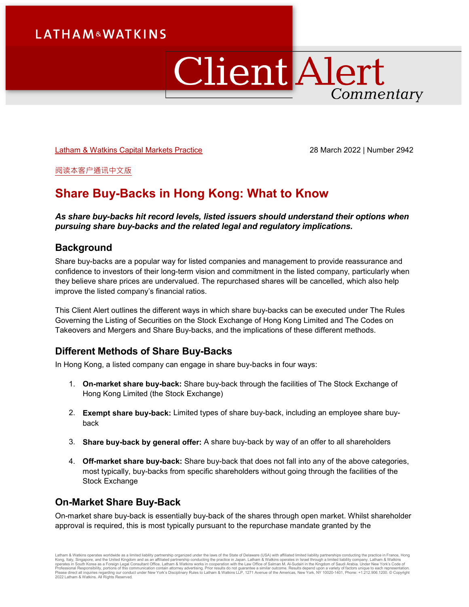# ClientAlert Commentary

[Latham & Watkins Capital Markets Practice](https://www.lw.com/practices/CapitalMarkets) 28 March 2022 | Number 2942

[阅读本客户通讯中文版](https://ch.lw.com/thoughtLeadership/share-buy-backs-in-hong-kong-what-to-know-chinese-translation)

# **Share Buy-Backs in Hong Kong: What to Know**

*As share buy-backs hit record levels, listed issuers should understand their options when pursuing share buy-backs and the related legal and regulatory implications.*

## **Background**

Share buy-backs are a popular way for listed companies and management to provide reassurance and confidence to investors of their long-term vision and commitment in the listed company, particularly when they believe share prices are undervalued. The repurchased shares will be cancelled, which also help improve the listed company's financial ratios.

This Client Alert outlines the different ways in which share buy-backs can be executed under The Rules Governing the Listing of Securities on the Stock Exchange of Hong Kong Limited and The Codes on Takeovers and Mergers and Share Buy-backs, and the implications of these different methods.

## **Different Methods of Share Buy-Backs**

In Hong Kong, a listed company can engage in share buy-backs in four ways:

- 1. **On-market share buy-back:** Share buy-back through the facilities of The Stock Exchange of Hong Kong Limited (the Stock Exchange)
- 2. **Exempt share buy-back:** Limited types of share buy-back, including an employee share buyback
- 3. **Share buy-back by general offer:** A share buy-back by way of an offer to all shareholders
- 4. **Off-market share buy-back:** Share buy-back that does not fall into any of the above categories, most typically, buy-backs from specific shareholders without going through the facilities of the Stock Exchange

# **On-Market Share Buy-Back**

On-market share buy-back is essentially buy-back of the shares through open market. Whilst shareholder approval is required, this is most typically pursuant to the repurchase mandate granted by the

Latham & Watkins operates worldwide as a limited liability partnership organized under the laws of the State of Delaware (USA) with affiliated limited liability partnerships conducting the practice in France, Hong Kong, Italy, Singapore, and the United Kingdom and as an affiliated partnership conducting the practice in Japan. Latham & Watkins operates in Israel through a limited liability company. Latham & Watkins<br>operates in South 2022 Latham & Watkins. All Rights Reserved.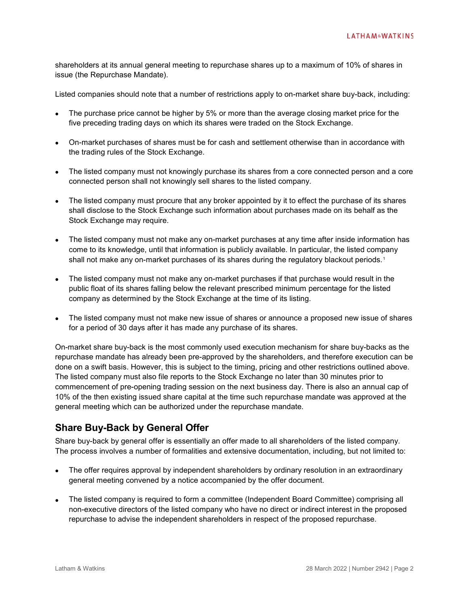shareholders at its annual general meeting to repurchase shares up to a maximum of 10% of shares in issue (the Repurchase Mandate).

Listed companies should note that a number of restrictions apply to on-market share buy-back, including:

- The purchase price cannot be higher by 5% or more than the average closing market price for the five preceding trading days on which its shares were traded on the Stock Exchange.
- On-market purchases of shares must be for cash and settlement otherwise than in accordance with the trading rules of the Stock Exchange.
- The listed company must not knowingly purchase its shares from a core connected person and a core connected person shall not knowingly sell shares to the listed company.
- The listed company must procure that any broker appointed by it to effect the purchase of its shares shall disclose to the Stock Exchange such information about purchases made on its behalf as the Stock Exchange may require.
- The listed company must not make any on-market purchases at any time after inside information has come to its knowledge, until that information is publicly available. In particular, the listed company shall not make any on-market purchases of its shares during the regulatory blackout periods.<sup>[1](#page-6-0)</sup>
- The listed company must not make any on-market purchases if that purchase would result in the public float of its shares falling below the relevant prescribed minimum percentage for the listed company as determined by the Stock Exchange at the time of its listing.
- The listed company must not make new issue of shares or announce a proposed new issue of shares for a period of 30 days after it has made any purchase of its shares.

On-market share buy-back is the most commonly used execution mechanism for share buy-backs as the repurchase mandate has already been pre-approved by the shareholders, and therefore execution can be done on a swift basis. However, this is subject to the timing, pricing and other restrictions outlined above. The listed company must also file reports to the Stock Exchange no later than 30 minutes prior to commencement of pre-opening trading session on the next business day. There is also an annual cap of 10% of the then existing issued share capital at the time such repurchase mandate was approved at the general meeting which can be authorized under the repurchase mandate.

### **Share Buy-Back by General Offer**

Share buy-back by general offer is essentially an offer made to all shareholders of the listed company. The process involves a number of formalities and extensive documentation, including, but not limited to:

- The offer requires approval by independent shareholders by ordinary resolution in an extraordinary general meeting convened by a notice accompanied by the offer document.
- The listed company is required to form a committee (Independent Board Committee) comprising all non-executive directors of the listed company who have no direct or indirect interest in the proposed repurchase to advise the independent shareholders in respect of the proposed repurchase.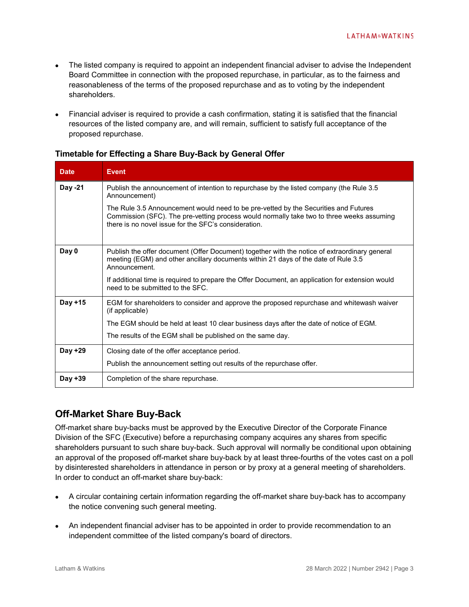- The listed company is required to appoint an independent financial adviser to advise the Independent Board Committee in connection with the proposed repurchase, in particular, as to the fairness and reasonableness of the terms of the proposed repurchase and as to voting by the independent shareholders.
- Financial adviser is required to provide a cash confirmation, stating it is satisfied that the financial resources of the listed company are, and will remain, sufficient to satisfy full acceptance of the proposed repurchase.

| <b>Date</b> | <b>Event</b>                                                                                                                                                                                                                             |  |  |
|-------------|------------------------------------------------------------------------------------------------------------------------------------------------------------------------------------------------------------------------------------------|--|--|
| Day -21     | Publish the announcement of intention to repurchase by the listed company (the Rule 3.5<br>Announcement)                                                                                                                                 |  |  |
|             | The Rule 3.5 Announcement would need to be pre-vetted by the Securities and Futures<br>Commission (SFC). The pre-vetting process would normally take two to three weeks assuming<br>there is no novel issue for the SFC's consideration. |  |  |
| Day 0       | Publish the offer document (Offer Document) together with the notice of extraordinary general<br>meeting (EGM) and other ancillary documents within 21 days of the date of Rule 3.5<br>Announcement.                                     |  |  |
|             | If additional time is required to prepare the Offer Document, an application for extension would<br>need to be submitted to the SFC.                                                                                                     |  |  |
| Day +15     | EGM for shareholders to consider and approve the proposed repurchase and whitewash waiver<br>(if applicable)                                                                                                                             |  |  |
|             | The EGM should be held at least 10 clear business days after the date of notice of EGM.                                                                                                                                                  |  |  |
|             | The results of the EGM shall be published on the same day.                                                                                                                                                                               |  |  |
| Day +29     | Closing date of the offer acceptance period.                                                                                                                                                                                             |  |  |
|             | Publish the announcement setting out results of the repurchase offer.                                                                                                                                                                    |  |  |
| Day $+39$   | Completion of the share repurchase.                                                                                                                                                                                                      |  |  |

#### **Timetable for Effecting a Share Buy-Back by General Offer**

# **Off-Market Share Buy-Back**

Off-market share buy-backs must be approved by the Executive Director of the Corporate Finance Division of the SFC (Executive) before a repurchasing company acquires any shares from specific shareholders pursuant to such share buy-back. Such approval will normally be conditional upon obtaining an approval of the proposed off-market share buy-back by at least three-fourths of the votes cast on a poll by disinterested shareholders in attendance in person or by proxy at a general meeting of shareholders. In order to conduct an off-market share buy-back:

- A circular containing certain information regarding the off-market share buy-back has to accompany the notice convening such general meeting.
- An independent financial adviser has to be appointed in order to provide recommendation to an independent committee of the listed company's board of directors.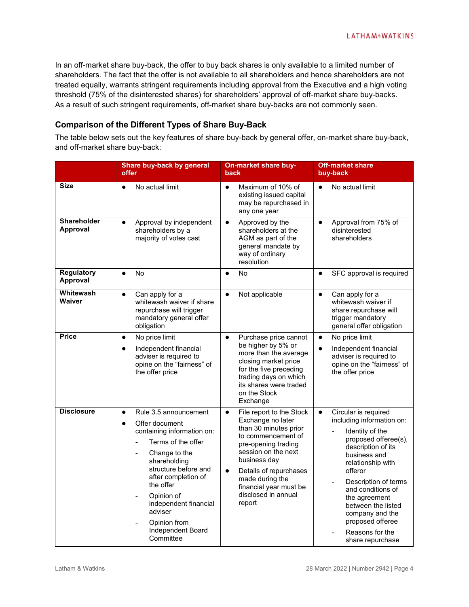In an off-market share buy-back, the offer to buy back shares is only available to a limited number of shareholders. The fact that the offer is not available to all shareholders and hence shareholders are not treated equally, warrants stringent requirements including approval from the Executive and a high voting threshold (75% of the disinterested shares) for shareholders' approval of off-market share buy-backs. As a result of such stringent requirements, off-market share buy-backs are not commonly seen.

### **Comparison of the Different Types of Share Buy-Back**

The table below sets out the key features of share buy-back by general offer, on-market share buy-back, and off-market share buy-back:

|                                | Share buy-back by general<br>offer                                                                                                                                                                                                                                                                                                                                   | <b>On-market share buy-</b><br>back                                                                                                                                                                                                                                                          | <b>Off-market share</b><br>buy-back                                                                                                                                                                                                                                                                                                                                |
|--------------------------------|----------------------------------------------------------------------------------------------------------------------------------------------------------------------------------------------------------------------------------------------------------------------------------------------------------------------------------------------------------------------|----------------------------------------------------------------------------------------------------------------------------------------------------------------------------------------------------------------------------------------------------------------------------------------------|--------------------------------------------------------------------------------------------------------------------------------------------------------------------------------------------------------------------------------------------------------------------------------------------------------------------------------------------------------------------|
| <b>Size</b>                    | No actual limit<br>$\bullet$                                                                                                                                                                                                                                                                                                                                         | Maximum of 10% of<br>$\bullet$<br>existing issued capital<br>may be repurchased in<br>any one year                                                                                                                                                                                           | No actual limit<br>$\bullet$                                                                                                                                                                                                                                                                                                                                       |
| <b>Shareholder</b><br>Approval | Approval by independent<br>$\bullet$<br>shareholders by a<br>majority of votes cast                                                                                                                                                                                                                                                                                  | Approved by the<br>$\bullet$<br>shareholders at the<br>AGM as part of the<br>general mandate by<br>way of ordinary<br>resolution                                                                                                                                                             | Approval from 75% of<br>$\bullet$<br>disinterested<br>shareholders                                                                                                                                                                                                                                                                                                 |
| <b>Regulatory</b><br>Approval  | No<br>$\bullet$                                                                                                                                                                                                                                                                                                                                                      | No<br>$\bullet$                                                                                                                                                                                                                                                                              | SFC approval is required<br>$\bullet$                                                                                                                                                                                                                                                                                                                              |
| Whitewash<br>Waiver            | Can apply for a<br>$\bullet$<br>whitewash waiver if share<br>repurchase will trigger<br>mandatory general offer<br>obligation                                                                                                                                                                                                                                        | Not applicable<br>$\bullet$                                                                                                                                                                                                                                                                  | Can apply for a<br>$\bullet$<br>whitewash waiver if<br>share repurchase will<br>trigger mandatory<br>general offer obligation                                                                                                                                                                                                                                      |
| <b>Price</b>                   | No price limit<br>$\bullet$<br>Independent financial<br>$\bullet$<br>adviser is required to<br>opine on the "fairness" of<br>the offer price                                                                                                                                                                                                                         | Purchase price cannot<br>$\bullet$<br>be higher by 5% or<br>more than the average<br>closing market price<br>for the five preceding<br>trading days on which<br>its shares were traded<br>on the Stock<br>Exchange                                                                           | No price limit<br>$\bullet$<br>Independent financial<br>$\bullet$<br>adviser is required to<br>opine on the "fairness" of<br>the offer price                                                                                                                                                                                                                       |
| <b>Disclosure</b>              | Rule 3.5 announcement<br>$\bullet$<br>Offer document<br>$\bullet$<br>containing information on:<br>Terms of the offer<br>$\overline{\phantom{0}}$<br>Change to the<br>$\overline{a}$<br>shareholding<br>structure before and<br>after completion of<br>the offer<br>Opinion of<br>independent financial<br>adviser<br>Opinion from<br>Independent Board<br>Committee | File report to the Stock<br>$\bullet$<br>Exchange no later<br>than 30 minutes prior<br>to commencement of<br>pre-opening trading<br>session on the next<br>business day<br>Details of repurchases<br>$\bullet$<br>made during the<br>financial year must be<br>disclosed in annual<br>report | Circular is required<br>$\bullet$<br>including information on:<br>Identity of the<br>$\frac{1}{2}$<br>proposed offeree(s),<br>description of its<br>business and<br>relationship with<br>offeror<br>Description of terms<br>and conditions of<br>the agreement<br>between the listed<br>company and the<br>proposed offeree<br>Reasons for the<br>share repurchase |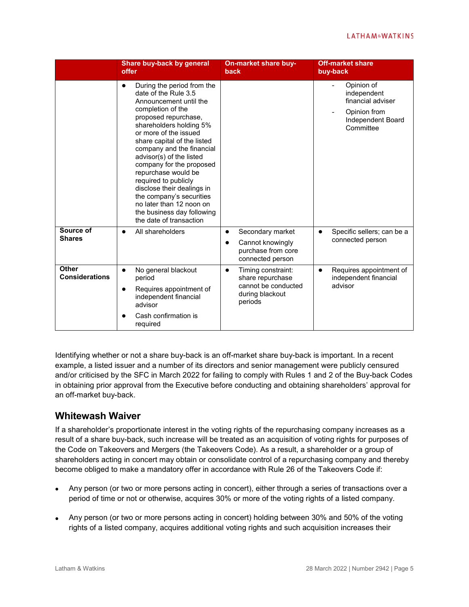|                                       | Share buy-back by general<br>offer                                                                                                                                                                                                                                                                                                                                                                                                                                                                           | <b>On-market share buy-</b><br><b>back</b>                                                               | <b>Off-market share</b><br>buy-back                                                              |
|---------------------------------------|--------------------------------------------------------------------------------------------------------------------------------------------------------------------------------------------------------------------------------------------------------------------------------------------------------------------------------------------------------------------------------------------------------------------------------------------------------------------------------------------------------------|----------------------------------------------------------------------------------------------------------|--------------------------------------------------------------------------------------------------|
|                                       | During the period from the<br>$\bullet$<br>date of the Rule 3.5<br>Announcement until the<br>completion of the<br>proposed repurchase,<br>shareholders holding 5%<br>or more of the issued<br>share capital of the listed<br>company and the financial<br>advisor(s) of the listed<br>company for the proposed<br>repurchase would be<br>required to publicly<br>disclose their dealings in<br>the company's securities<br>no later than 12 noon on<br>the business day following<br>the date of transaction |                                                                                                          | Opinion of<br>independent<br>financial adviser<br>Opinion from<br>Independent Board<br>Committee |
| Source of<br><b>Shares</b>            | All shareholders<br>$\bullet$                                                                                                                                                                                                                                                                                                                                                                                                                                                                                | Secondary market<br>$\bullet$<br>Cannot knowingly<br>$\bullet$<br>purchase from core<br>connected person | Specific sellers; can be a<br>$\bullet$<br>connected person                                      |
| <b>Other</b><br><b>Considerations</b> | No general blackout<br>$\bullet$<br>period<br>Requires appointment of<br>$\bullet$<br>independent financial<br>advisor<br>Cash confirmation is<br>required                                                                                                                                                                                                                                                                                                                                                   | Timing constraint:<br>$\bullet$<br>share repurchase<br>cannot be conducted<br>during blackout<br>periods | Requires appointment of<br>$\bullet$<br>independent financial<br>advisor                         |

Identifying whether or not a share buy-back is an off-market share buy-back is important. In a recent example, a listed issuer and a number of its directors and senior management were publicly censured and/or criticised by the SFC in March 2022 for failing to comply with Rules 1 and 2 of the Buy-back Codes in obtaining prior approval from the Executive before conducting and obtaining shareholders' approval for an off-market buy-back.

## **Whitewash Waiver**

If a shareholder's proportionate interest in the voting rights of the repurchasing company increases as a result of a share buy-back, such increase will be treated as an acquisition of voting rights for purposes of the Code on Takeovers and Mergers (the Takeovers Code). As a result, a shareholder or a group of shareholders acting in concert may obtain or consolidate control of a repurchasing company and thereby become obliged to make a mandatory offer in accordance with Rule 26 of the Takeovers Code if:

- Any person (or two or more persons acting in concert), either through a series of transactions over a period of time or not or otherwise, acquires 30% or more of the voting rights of a listed company.
- Any person (or two or more persons acting in concert) holding between 30% and 50% of the voting rights of a listed company, acquires additional voting rights and such acquisition increases their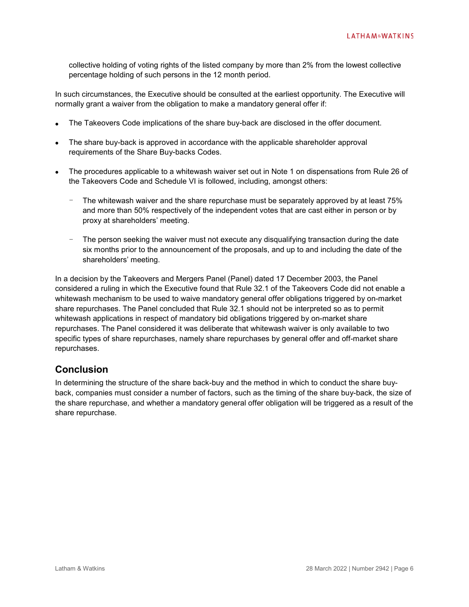collective holding of voting rights of the listed company by more than 2% from the lowest collective percentage holding of such persons in the 12 month period.

In such circumstances, the Executive should be consulted at the earliest opportunity. The Executive will normally grant a waiver from the obligation to make a mandatory general offer if:

- The Takeovers Code implications of the share buy-back are disclosed in the offer document.
- The share buy-back is approved in accordance with the applicable shareholder approval requirements of the Share Buy-backs Codes.
- The procedures applicable to a whitewash waiver set out in Note 1 on dispensations from Rule 26 of the Takeovers Code and Schedule VI is followed, including, amongst others:
	- The whitewash waiver and the share repurchase must be separately approved by at least 75% and more than 50% respectively of the independent votes that are cast either in person or by proxy at shareholders' meeting.
	- The person seeking the waiver must not execute any disqualifying transaction during the date six months prior to the announcement of the proposals, and up to and including the date of the shareholders' meeting.

In a decision by the Takeovers and Mergers Panel (Panel) dated 17 December 2003, the Panel considered a ruling in which the Executive found that Rule 32.1 of the Takeovers Code did not enable a whitewash mechanism to be used to waive mandatory general offer obligations triggered by on-market share repurchases. The Panel concluded that Rule 32.1 should not be interpreted so as to permit whitewash applications in respect of mandatory bid obligations triggered by on-market share repurchases. The Panel considered it was deliberate that whitewash waiver is only available to two specific types of share repurchases, namely share repurchases by general offer and off-market share repurchases.

## **Conclusion**

In determining the structure of the share back-buy and the method in which to conduct the share buyback, companies must consider a number of factors, such as the timing of the share buy-back, the size of the share repurchase, and whether a mandatory general offer obligation will be triggered as a result of the share repurchase.